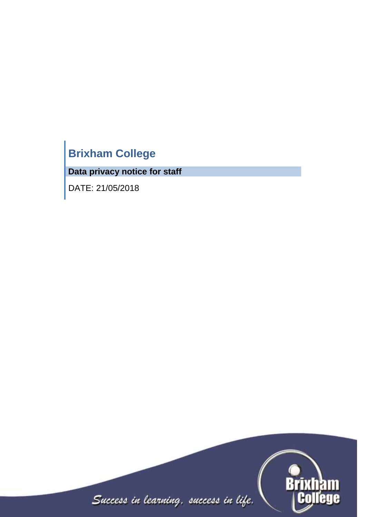# **Brixham College**

**Data privacy notice for staff**

DATE: 21/05/2018

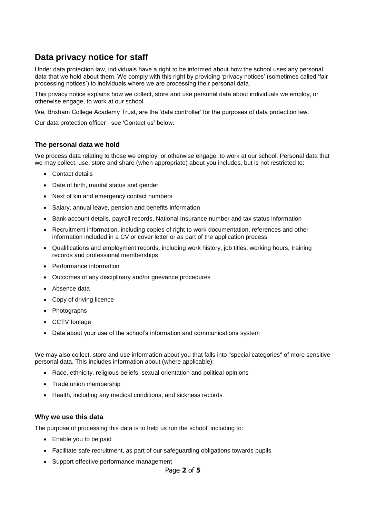# **Data privacy notice for staff**

Under data protection law, individuals have a right to be informed about how the school uses any personal data that we hold about them. We comply with this right by providing 'privacy notices' (sometimes called 'fair processing notices') to individuals where we are processing their personal data.

This privacy notice explains how we collect, store and use personal data about individuals we employ, or otherwise engage, to work at our school.

We, Brixham College Academy Trust, are the 'data controller' for the purposes of data protection law.

Our data protection officer - see 'Contact us' below.

# **The personal data we hold**

We process data relating to those we employ, or otherwise engage, to work at our school. Personal data that we may collect, use, store and share (when appropriate) about you includes, but is not restricted to:

- Contact details
- Date of birth, marital status and gender
- Next of kin and emergency contact numbers
- Salary, annual leave, pension and benefits information
- Bank account details, payroll records, National Insurance number and tax status information
- Recruitment information, including copies of right to work documentation, references and other information included in a CV or cover letter or as part of the application process
- Qualifications and employment records, including work history, job titles, working hours, training records and professional memberships
- Performance information
- Outcomes of any disciplinary and/or grievance procedures
- Absence data
- Copy of driving licence
- Photographs
- CCTV footage
- Data about your use of the school's information and communications system

We may also collect, store and use information about you that falls into "special categories" of more sensitive personal data. This includes information about (where applicable):

- Race, ethnicity, religious beliefs, sexual orientation and political opinions
- Trade union membership
- Health, including any medical conditions, and sickness records

#### **Why we use this data**

The purpose of processing this data is to help us run the school, including to:

- Enable you to be paid
- Facilitate safe recruitment, as part of our safeguarding obligations towards pupils
- Support effective performance management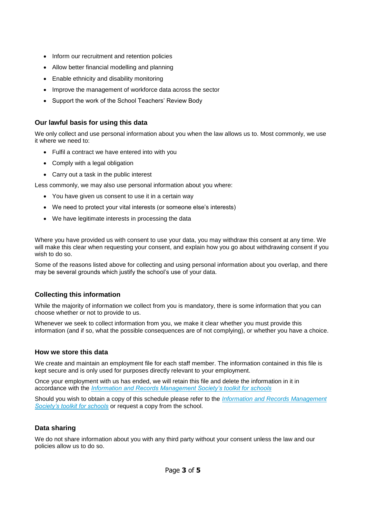- Inform our recruitment and retention policies
- Allow better financial modelling and planning
- Enable ethnicity and disability monitoring
- Improve the management of workforce data across the sector
- Support the work of the School Teachers' Review Body

# **Our lawful basis for using this data**

We only collect and use personal information about you when the law allows us to. Most commonly, we use it where we need to:

- Fulfil a contract we have entered into with you
- Comply with a legal obligation
- Carry out a task in the public interest

Less commonly, we may also use personal information about you where:

- You have given us consent to use it in a certain way
- We need to protect your vital interests (or someone else's interests)
- We have legitimate interests in processing the data

Where you have provided us with consent to use your data, you may withdraw this consent at any time. We will make this clear when requesting your consent, and explain how you go about withdrawing consent if you wish to do so.

Some of the reasons listed above for collecting and using personal information about you overlap, and there may be several grounds which justify the school's use of your data.

# **Collecting this information**

While the majority of information we collect from you is mandatory, there is some information that you can choose whether or not to provide to us.

Whenever we seek to collect information from you, we make it clear whether you must provide this information (and if so, what the possible consequences are of not complying), or whether you have a choice.

# **How we store this data**

We create and maintain an employment file for each staff member. The information contained in this file is kept secure and is only used for purposes directly relevant to your employment.

Once your employment with us has ended, we will retain this file and delete the information in it in accordance with the *[Information and Records Management Society's toolkit for schools](http://irms.org.uk/?page=schoolstoolkit&terms=%22toolkit+and+schools%22)*

Should you wish to obtain a copy of this schedule please refer to the *[Information and Records Management](http://irms.org.uk/?page=schoolstoolkit&terms=%22toolkit+and+schools%22)  [Society's toolkit for schools](http://irms.org.uk/?page=schoolstoolkit&terms=%22toolkit+and+schools%22)* or request a copy from the school.

# **Data sharing**

We do not share information about you with any third party without your consent unless the law and our policies allow us to do so.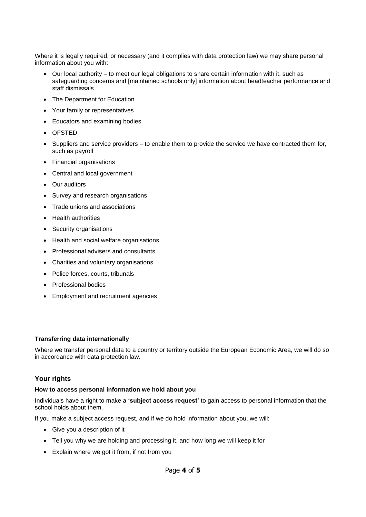Where it is legally required, or necessary (and it complies with data protection law) we may share personal information about you with:

- Our local authority to meet our legal obligations to share certain information with it, such as safeguarding concerns and [maintained schools only] information about headteacher performance and staff dismissals
- The Department for Education
- Your family or representatives
- Educators and examining bodies
- OFSTED
- $\bullet$  Suppliers and service providers to enable them to provide the service we have contracted them for, such as payroll
- Financial organisations
- Central and local government
- Our auditors
- Survey and research organisations
- Trade unions and associations
- Health authorities
- Security organisations
- Health and social welfare organisations
- Professional advisers and consultants
- Charities and voluntary organisations
- Police forces, courts, tribunals
- Professional bodies
- Employment and recruitment agencies

#### **Transferring data internationally**

Where we transfer personal data to a country or territory outside the European Economic Area, we will do so in accordance with data protection law.

# **Your rights**

#### **How to access personal information we hold about you**

Individuals have a right to make a **'subject access request'** to gain access to personal information that the school holds about them.

If you make a subject access request, and if we do hold information about you, we will:

- Give you a description of it
- Tell you why we are holding and processing it, and how long we will keep it for
- Explain where we got it from, if not from you